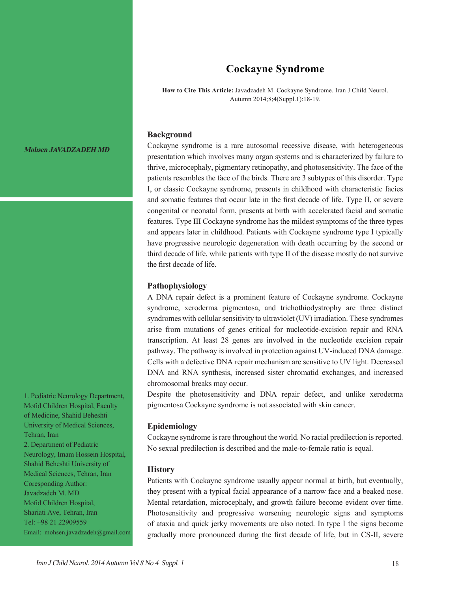# **Cockayne Syndrome**

**How to Cite This Article:** Javadzadeh M. Cockayne Syndrome. Iran J Child Neurol. Autumn 2014;8;4(Suppl.1):18-19.

## **Background**

Cockayne syndrome is a rare autosomal recessive disease, with heterogeneous presentation which involves many organ systems and is characterized by failure to thrive, microcephaly, pigmentary retinopathy, and photosensitivity. The face of the patients resembles the face of the birds. There are 3 subtypes of this disorder. Type I, or classic Cockayne syndrome, presents in childhood with characteristic facies and somatic features that occur late in the first decade of life. Type II, or severe congenital or neonatal form, presents at birth with accelerated facial and somatic features. Type III Cockayne syndrome has the mildest symptoms of the three types and appears later in childhood. Patients with Cockayne syndrome type I typically have progressive neurologic degeneration with death occurring by the second or third decade of life, while patients with type II of the disease mostly do not survive the first decade of life.

## **Pathophysiology**

A DNA repair defect is a prominent feature of Cockayne syndrome. Cockayne syndrome, xeroderma pigmentosa, and trichothiodystrophy are three distinct syndromes with cellular sensitivity to ultraviolet (UV) irradiation. These syndromes arise from mutations of genes critical for nucleotide-excision repair and RNA transcription. At least 28 genes are involved in the nucleotide excision repair pathway. The pathway is involved in protection against UV-induced DNA damage. Cells with a defective DNA repair mechanism are sensitive to UV light. Decreased DNA and RNA synthesis, increased sister chromatid exchanges, and increased chromosomal breaks may occur.

Despite the photosensitivity and DNA repair defect, and unlike xeroderma pigmentosa Cockayne syndrome is not associated with skin cancer.

# **Epidemiology**

Cockayne syndrome is rare throughout the world. No racial predilection is reported. No sexual predilection is described and the male-to-female ratio is equal.

# **History**

Patients with Cockayne syndrome usually appear normal at birth, but eventually, they present with a typical facial appearance of a narrow face and a beaked nose. Mental retardation, microcephaly, and growth failure become evident over time. Photosensitivity and progressive worsening neurologic signs and symptoms of ataxia and quick jerky movements are also noted. In type I the signs become gradually more pronounced during the first decade of life, but in CS-II, severe

**Mohsen JAVADZADEH MD**

1. Pediatric Neurology Department, Mofid Children Hospital, Faculty of Medicine, Shahid Beheshti University of Medical Sciences, Tehran, Iran 2. Department of Pediatric Neurology, Imam Hossein Hospital, Shahid Beheshti University of Medical Sciences, Tehran, Iran Coresponding Author: Javadzadeh M. MD Mofid Children Hospital, Shariati Ave, Tehran, Iran Tel: +98 21 22909559 Email: mohsen.javadzadeh@gmail.com